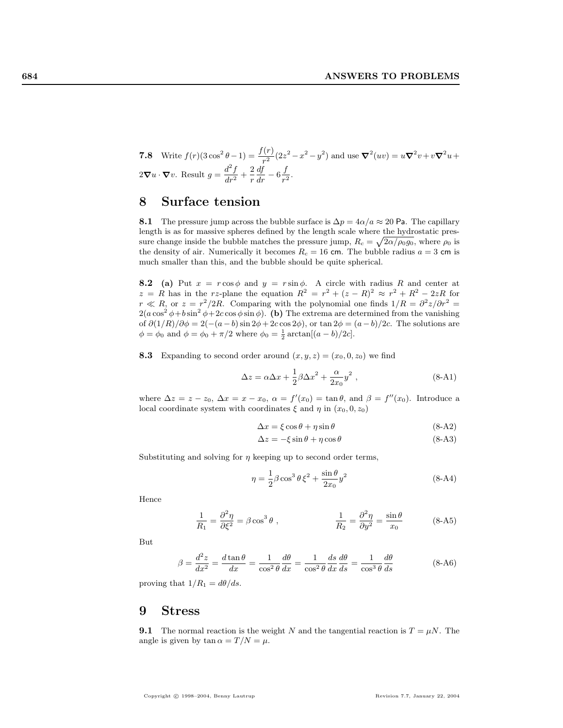**7.8** Write 
$$
f(r)(3\cos^2\theta - 1) = \frac{f(r)}{r^2}(2z^2 - x^2 - y^2)
$$
 and use  $\nabla^2(uv) = u\nabla^2v + v\nabla^2u + 2\nabla u \cdot \nabla v$ . Result  $g = \frac{d^2f}{dr^2} + \frac{2}{r}\frac{df}{dr} - 6\frac{f}{r^2}$ .

## 8 Surface tension

8.1 The pressure jump across the bubble surface is  $\Delta p = 4\alpha/a \approx 20$  Pa. The capillary length is as for massive spheres defined by the length scale where the hydrostatic pressure change inside the bubble matches the pressure jump,  $R_c = \sqrt{2\alpha/\rho_0 g_0}$ , where  $\rho_0$  is the density of air. Numerically it becomes  $R_c = 16$  cm. The bubble radius  $a = 3$  cm is much smaller than this, and the bubble should be quite spherical.

**8.2** (a) Put  $x = r \cos \phi$  and  $y = r \sin \phi$ . A circle with radius R and center at  $z = R$  has in the rz-plane the equation  $R^2 = r^2 + (z - R)^2 \approx r^2 + R^2 - 2zR$  for  $r \ll R$ , or  $z = r^2/2R$ . Comparing with the polynomial one finds  $1/R = \frac{\partial^2 z}{\partial r^2}$  $2(a\cos^2\phi+b\sin^2\phi+2c\cos\phi\sin\phi)$ . (b) The extrema are determined from the vanishing of  $\partial(1/R)/\partial\phi = 2(-(a-b)\sin 2\phi + 2c\cos 2\phi)$ , or  $\tan 2\phi = (a-b)/2c$ . The solutions are  $\phi = \phi_0$  and  $\phi = \phi_0 + \pi/2$  where  $\phi_0 = \frac{1}{2} \arctan[(a - b)/2c]$ .

**8.3** Expanding to second order around  $(x, y, z) = (x_0, 0, z_0)$  we find

$$
\Delta z = \alpha \Delta x + \frac{1}{2} \beta \Delta x^2 + \frac{\alpha}{2x_0} y^2 , \qquad (8\text{-}A1)
$$

where  $\Delta z = z - z_0$ ,  $\Delta x = x - x_0$ ,  $\alpha = f'(x_0) = \tan \theta$ , and  $\beta = f''(x_0)$ . Introduce a local coordinate system with coordinates  $\xi$  and  $\eta$  in  $(x_0, 0, z_0)$ 

$$
\Delta x = \xi \cos \theta + \eta \sin \theta \tag{8-A2}
$$

$$
\Delta z = -\xi \sin \theta + \eta \cos \theta \tag{8-A3}
$$

Substituting and solving for  $\eta$  keeping up to second order terms,

$$
\eta = \frac{1}{2}\beta\cos^3\theta\,\xi^2 + \frac{\sin\theta}{2x_0}y^2\tag{8-A4}
$$

Hence

$$
\frac{1}{R_1} = \frac{\partial^2 \eta}{\partial \xi^2} = \beta \cos^3 \theta ,\qquad \qquad \frac{1}{R_2} = \frac{\partial^2 \eta}{\partial y^2} = \frac{\sin \theta}{x_0} \qquad (8\text{-A5})
$$

But

$$
\beta = \frac{d^2 z}{dx^2} = \frac{d \tan \theta}{dx} = \frac{1}{\cos^2 \theta} \frac{d\theta}{dx} = \frac{1}{\cos^2 \theta} \frac{ds}{dx} \frac{d\theta}{ds} = \frac{1}{\cos^3 \theta} \frac{d\theta}{ds}
$$
(8-A6)

proving that  $1/R_1 = d\theta/ds$ .

## 9 Stress

**9.1** The normal reaction is the weight N and the tangential reaction is  $T = \mu N$ . The angle is given by  $\tan \alpha = T/N = \mu$ .